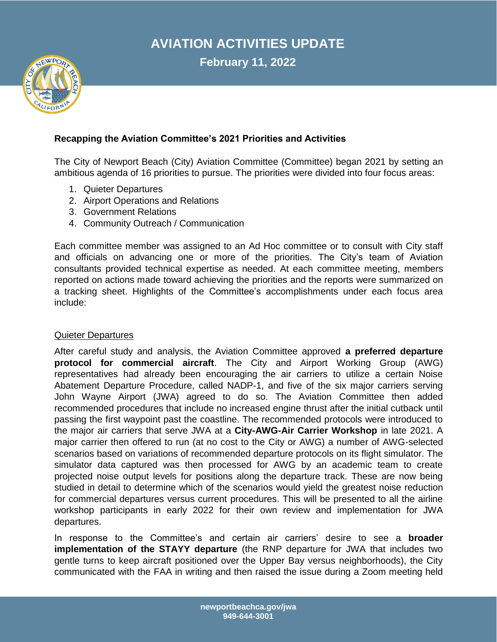# **AVIATION ACTIVITIES UPDATE**

**February 11, 2022**



## **Recapping the Aviation Committee's 2021 Priorities and Activities**

The City of Newport Beach (City) Aviation Committee (Committee) began 2021 by setting an ambitious agenda of 16 priorities to pursue. The priorities were divided into four focus areas:

- 1. Quieter Departures
- 2. Airport Operations and Relations
- 3. Government Relations
- 4. Community Outreach / Communication

Each committee member was assigned to an Ad Hoc committee or to consult with City staff and officials on advancing one or more of the priorities. The City's team of Aviation consultants provided technical expertise as needed. At each committee meeting, members reported on actions made toward achieving the priorities and the reports were summarized on a tracking sheet. Highlights of the Committee's accomplishments under each focus area include:

#### Quieter Departures

After careful study and analysis, the Aviation Committee approved **a preferred departure protocol for commercial aircraft**. The City and Airport Working Group (AWG) representatives had already been encouraging the air carriers to utilize a certain Noise Abatement Departure Procedure, called NADP-1, and five of the six major carriers serving John Wayne Airport (JWA) agreed to do so. The Aviation Committee then added recommended procedures that include no increased engine thrust after the initial cutback until passing the first waypoint past the coastline. The recommended protocols were introduced to the major air carriers that serve JWA at a **City-AWG-Air Carrier Workshop** in late 2021. A major carrier then offered to run (at no cost to the City or AWG) a number of AWG-selected scenarios based on variations of recommended departure protocols on its flight simulator. The simulator data captured was then processed for AWG by an academic team to create projected noise output levels for positions along the departure track. These are now being studied in detail to determine which of the scenarios would yield the greatest noise reduction for commercial departures versus current procedures. This will be presented to all the airline workshop participants in early 2022 for their own review and implementation for JWA departures.

In response to the Committee's and certain air carriers' desire to see a **broader implementation of the STAYY departure** (the RNP departure for JWA that includes two gentle turns to keep aircraft positioned over the Upper Bay versus neighborhoods), the City communicated with the FAA in writing and then raised the issue during a Zoom meeting held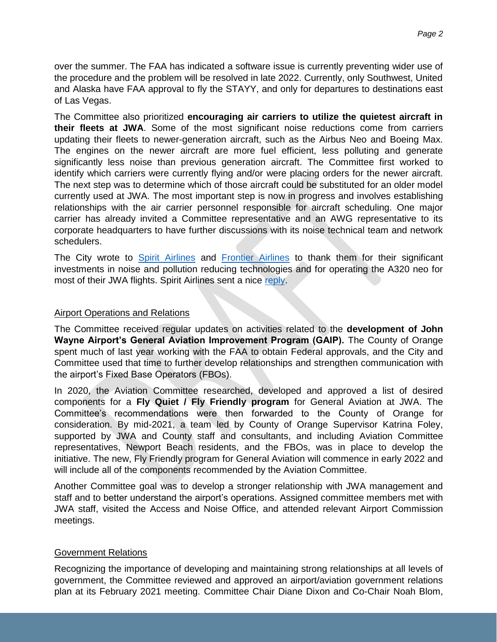over the summer. The FAA has indicated a software issue is currently preventing wider use of the procedure and the problem will be resolved in late 2022. Currently, only Southwest, United and Alaska have FAA approval to fly the STAYY, and only for departures to destinations east of Las Vegas.

The Committee also prioritized **encouraging air carriers to utilize the quietest aircraft in their fleets at JWA**. Some of the most significant noise reductions come from carriers updating their fleets to newer-generation aircraft, such as the Airbus Neo and Boeing Max. The engines on the newer aircraft are more fuel efficient, less polluting and generate significantly less noise than previous generation aircraft. The Committee first worked to identify which carriers were currently flying and/or were placing orders for the newer aircraft. The next step was to determine which of those aircraft could be substituted for an older model currently used at JWA. The most important step is now in progress and involves establishing relationships with the air carrier personnel responsible for aircraft scheduling. One major carrier has already invited a Committee representative and an AWG representative to its corporate headquarters to have further discussions with its noise technical team and network schedulers.

The City wrote to [Spirit Airlines](https://www.newportbeachca.gov/home/showpublisheddocument/69784/637544362662000000) and [Frontier Airlines](https://www.newportbeachca.gov/home/showpublisheddocument/69782/637544362658830000) to thank them for their significant investments in noise and pollution reducing technologies and for operating the A320 neo for most of their JWA flights. Spirit Airlines sent a nice [reply.](https://www.newportbeachca.gov/home/showpublisheddocument/69930/637581348373509982)

#### Airport Operations and Relations

The Committee received regular updates on activities related to the **development of John Wayne Airport's General Aviation Improvement Program (GAIP).** The County of Orange spent much of last year working with the FAA to obtain Federal approvals, and the City and Committee used that time to further develop relationships and strengthen communication with the airport's Fixed Base Operators (FBOs).

In 2020, the Aviation Committee researched, developed and approved a list of desired components for a **Fly Quiet / Fly Friendly program** for General Aviation at JWA. The Committee's recommendations were then forwarded to the County of Orange for consideration. By mid-2021, a team led by County of Orange Supervisor Katrina Foley, supported by JWA and County staff and consultants, and including Aviation Committee representatives, Newport Beach residents, and the FBOs, was in place to develop the initiative. The new, Fly Friendly program for General Aviation will commence in early 2022 and will include all of the components recommended by the Aviation Committee.

Another Committee goal was to develop a stronger relationship with JWA management and staff and to better understand the airport's operations. Assigned committee members met with JWA staff, visited the Access and Noise Office, and attended relevant Airport Commission meetings.

#### Government Relations

Recognizing the importance of developing and maintaining strong relationships at all levels of government, the Committee reviewed and approved an airport/aviation government relations plan at its February 2021 meeting. Committee Chair Diane Dixon and Co-Chair Noah Blom,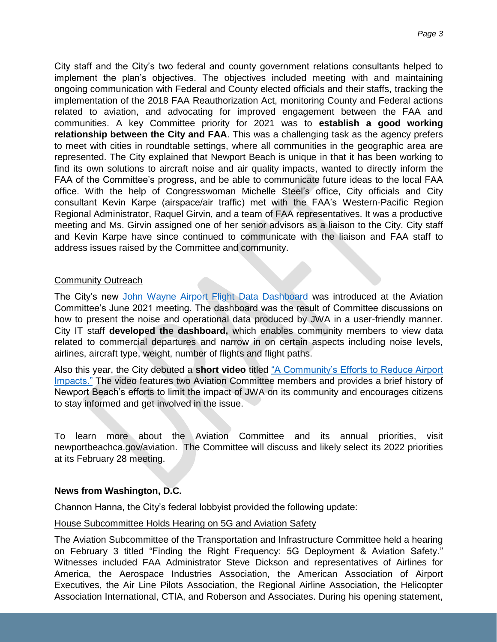City staff and the City's two federal and county government relations consultants helped to implement the plan's objectives. The objectives included meeting with and maintaining ongoing communication with Federal and County elected officials and their staffs, tracking the implementation of the 2018 FAA Reauthorization Act, monitoring County and Federal actions related to aviation, and advocating for improved engagement between the FAA and communities. A key Committee priority for 2021 was to **establish a good working relationship between the City and FAA**. This was a challenging task as the agency prefers to meet with cities in roundtable settings, where all communities in the geographic area are represented. The City explained that Newport Beach is unique in that it has been working to find its own solutions to aircraft noise and air quality impacts, wanted to directly inform the FAA of the Committee's progress, and be able to communicate future ideas to the local FAA office. With the help of Congresswoman Michelle Steel's office, City officials and City consultant Kevin Karpe (airspace/air traffic) met with the FAA's Western-Pacific Region Regional Administrator, Raquel Girvin, and a team of FAA representatives. It was a productive meeting and Ms. Girvin assigned one of her senior advisors as a liaison to the City. City staff and Kevin Karpe have since continued to communicate with the liaison and FAA staff to address issues raised by the Committee and community.

## Community Outreach

The City's new [John Wayne Airport Flight Data Dashboard](https://nbgis.newportbeachca.gov/gispub/Dashboards/JWADash.htm) was introduced at the Aviation Committee's June 2021 meeting. The dashboard was the result of Committee discussions on how to present the noise and operational data produced by JWA in a user-friendly manner. City IT staff **developed the dashboard,** which enables community members to view data related to commercial departures and narrow in on certain aspects including noise levels, airlines, aircraft type, weight, number of flights and flight paths.

Also this year, the City debuted a **short video** titled ["A Community's Efforts to Reduce Airport](https://www.youtube.com/watch?v=rREXLEQGoNE&list=PLzorGOSnQ7c0mcL2qCJTPV5QiVlr1A8Zm&index=19)  [Impacts."](https://www.youtube.com/watch?v=rREXLEQGoNE&list=PLzorGOSnQ7c0mcL2qCJTPV5QiVlr1A8Zm&index=19) The video features two Aviation Committee members and provides a brief history of Newport Beach's efforts to limit the impact of JWA on its community and encourages citizens to stay informed and get involved in the issue.

To learn more about the Aviation Committee and its annual priorities, visit newportbeachca.gov/aviation. The Committee will discuss and likely select its 2022 priorities at its February 28 meeting.

## **News from Washington, D.C.**

Channon Hanna, the City's federal lobbyist provided the following update:

## House Subcommittee Holds Hearing on 5G and Aviation Safety

The Aviation Subcommittee of the Transportation and Infrastructure Committee held a hearing on February 3 titled "Finding the Right Frequency: 5G Deployment & Aviation Safety." Witnesses included FAA Administrator Steve Dickson and representatives of Airlines for America, the Aerospace Industries Association, the American Association of Airport Executives, the Air Line Pilots Association, the Regional Airline Association, the Helicopter Association International, CTIA, and Roberson and Associates. During his opening statement,